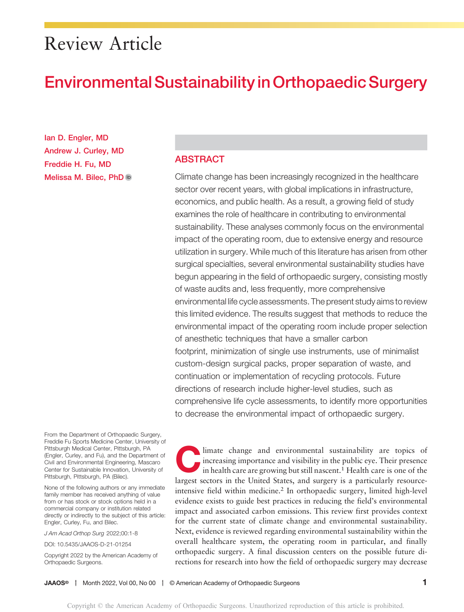# Review Article

# Environmental Sustainability in Orthopaedic Surgery

Ian D. Engler, MD Andrew J. Curley, MD Freddie H. Fu, MD Melissa M. Bilec, PhD

## **ABSTRACT**

Climate change has been increasingly recognized in the healthcare sector over recent years, with global implications in infrastructure, economics, and public health. As a result, a growing field of study examines the role of healthcare in contributing to environmental sustainability. These analyses commonly focus on the environmental impact of the operating room, due to extensive energy and resource utilization in surgery. While much of this literature has arisen from other surgical specialties, several environmental sustainability studies have begun appearing in the field of orthopaedic surgery, consisting mostly of waste audits and, less frequently, more comprehensive environmental life cycle assessments. The present study aims to review this limited evidence. The results suggest that methods to reduce the environmental impact of the operating room include proper selection of anesthetic techniques that have a smaller carbon footprint, minimization of single use instruments, use of minimalist custom-design surgical packs, proper separation of waste, and continuation or implementation of recycling protocols. Future directions of research include higher-level studies, such as comprehensive life cycle assessments, to identify more opportunities to decrease the environmental impact of orthopaedic surgery.

From the Department of Orthopaedic Surgery, Freddie Fu Sports Medicine Center, University of Pittsburgh Medical Center, Pittsburgh, PA (Engler, Curley, and Fu), and the Department of Civil and Environmental Engineering, Mascaro Center for Sustainable Innovation, University of Pittsburgh, Pittsburgh, PA (Bilec).

None of the following authors or any immediate family member has received anything of value from or has stock or stock options held in a commercial company or institution related directly or indirectly to the subject of this article: Engler, Curley, Fu, and Bilec.

J Am Acad Orthop Surg 2022;00:1-8

DOI: [10.5435/JAAOS-D-21-01254](http://dx.doi.org/10.5435/JAAOS-D-21-01254)

Copyright 2022 by the American Academy of Orthopaedic Surgeons.

limate change and environmental sustainability are topics of increasing importance and visibility in the public eye. Their presence in health care are growing but still nascent.<sup>1</sup> Health care is one of the largest sectors in the United States, and surgery is a particularly resourceintensive field within medicine.<sup>2</sup> In orthopaedic surgery, limited high-level evidence exists to guide best practices in reducing the field's environmental impact and associated carbon emissions. This review first provides context for the current state of climate change and environmental sustainability. Next, evidence is reviewed regarding environmental sustainability within the overall healthcare system, the operating room in particular, and finally orthopaedic surgery. A final discussion centers on the possible future directions for research into how the field of orthopaedic surgery may decrease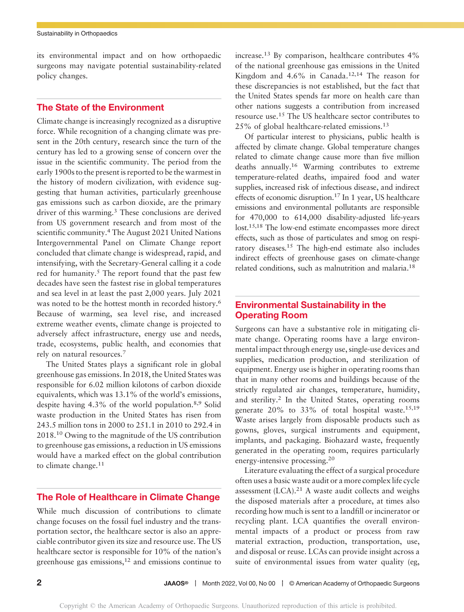its environmental impact and on how orthopaedic surgeons may navigate potential sustainability-related policy changes.

# The State of the Environment

Climate change is increasingly recognized as a disruptive force. While recognition of a changing climate was present in the 20th century, research since the turn of the century has led to a growing sense of concern over the issue in the scientific community. The period from the early 1900s to the present is reported to be the warmest in the history of modern civilization, with evidence suggesting that human activities, particularly greenhouse gas emissions such as carbon dioxide, are the primary driver of this warming.<sup>3</sup> These conclusions are derived from US government research and from most of the scientific community.<sup>4</sup> The August 2021 United Nations Intergovernmental Panel on Climate Change report concluded that climate change is widespread, rapid, and intensifying, with the Secretary-General calling it a code red for humanity.<sup>5</sup> The report found that the past few decades have seen the fastest rise in global temperatures and sea level in at least the past 2,000 years. July 2021 was noted to be the hottest month in recorded history.<sup>6</sup> Because of warming, sea level rise, and increased extreme weather events, climate change is projected to adversely affect infrastructure, energy use and needs, trade, ecosystems, public health, and economies that rely on natural resources.<sup>7</sup>

The United States plays a significant role in global greenhouse gas emissions. In 2018, the United States was responsible for 6.02 million kilotons of carbon dioxide equivalents, which was 13.1% of the world's emissions, despite having 4.3% of the world population.8,9 Solid waste production in the United States has risen from 243.5 million tons in 2000 to 251.1 in 2010 to 292.4 in 2018.<sup>10</sup> Owing to the magnitude of the US contribution to greenhouse gas emissions, a reduction in US emissions would have a marked effect on the global contribution to climate change.<sup>11</sup>

# The Role of Healthcare in Climate Change

While much discussion of contributions to climate change focuses on the fossil fuel industry and the transportation sector, the healthcare sector is also an appreciable contributor given its size and resource use. The US healthcare sector is responsible for 10% of the nation's greenhouse gas emissions,<sup>12</sup> and emissions continue to

increase.<sup>13</sup> By comparison, healthcare contributes 4% of the national greenhouse gas emissions in the United Kingdom and  $4.6\%$  in Canada.<sup>12,14</sup> The reason for these discrepancies is not established, but the fact that the United States spends far more on health care than other nations suggests a contribution from increased resource use.<sup>15</sup> The US healthcare sector contributes to 25% of global healthcare-related emissions.<sup>13</sup>

Of particular interest to physicians, public health is affected by climate change. Global temperature changes related to climate change cause more than five million deaths annually.16 Warming contributes to extreme temperature-related deaths, impaired food and water supplies, increased risk of infectious disease, and indirect effects of economic disruption.17 In 1 year, US healthcare emissions and environmental pollutants are responsible for 470,000 to 614,000 disability-adjusted life-years lost.15,18 The low-end estimate encompasses more direct effects, such as those of particulates and smog on respiratory diseases.15 The high-end estimate also includes indirect effects of greenhouse gases on climate-change related conditions, such as malnutrition and malaria.18

# Environmental Sustainability in the Operating Room

Surgeons can have a substantive role in mitigating climate change. Operating rooms have a large environmental impact through energy use, single-use devices and supplies, medication production, and sterilization of equipment. Energy use is higher in operating rooms than that in many other rooms and buildings because of the strictly regulated air changes, temperature, humidity, and sterility.<sup>2</sup> In the United States, operating rooms generate  $20\%$  to  $33\%$  of total hospital waste.<sup>15,19</sup> Waste arises largely from disposable products such as gowns, gloves, surgical instruments and equipment, implants, and packaging. Biohazard waste, frequently generated in the operating room, requires particularly energy-intensive processing.<sup>20</sup>

Literature evaluating the effect of a surgical procedure often uses a basic waste audit or a more complex life cycle assessment  $(LCA).<sup>21</sup>$  A waste audit collects and weighs the disposed materials after a procedure, at times also recording how much is sent to a landfill or incinerator or recycling plant. LCA quantifies the overall environmental impacts of a product or process from raw material extraction, production, transportation, use, and disposal or reuse. LCAs can provide insight across a suite of environmental issues from water quality (eg,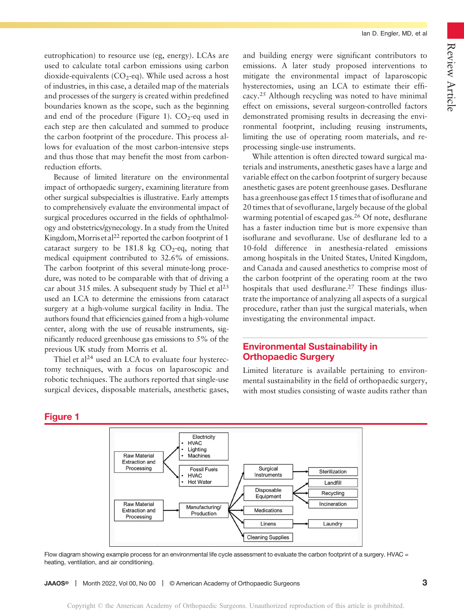Ian D. Engler, MD, et al

eutrophication) to resource use (eg, energy). LCAs are used to calculate total carbon emissions using carbon dioxide-equivalents  $(CO<sub>2</sub>-eq)$ . While used across a host of industries, in this case, a detailed map of the materials and processes of the surgery is created within predefined boundaries known as the scope, such as the beginning and end of the procedure (Figure 1).  $CO<sub>2</sub>$ -eq used in each step are then calculated and summed to produce the carbon footprint of the procedure. This process allows for evaluation of the most carbon-intensive steps and thus those that may benefit the most from carbonreduction efforts.

Because of limited literature on the environmental impact of orthopaedic surgery, examining literature from other surgical subspecialties is illustrative. Early attempts to comprehensively evaluate the environmental impact of surgical procedures occurred in the fields of ophthalmology and obstetrics/gynecology. In a study from the United Kingdom, Morris et al<sup>22</sup> reported the carbon footprint of 1 cataract surgery to be 181.8 kg  $CO<sub>2</sub>$ -eq, noting that medical equipment contributed to 32.6% of emissions. The carbon footprint of this several minute-long procedure, was noted to be comparable with that of driving a car about 315 miles. A subsequent study by Thiel et al<sup>23</sup> used an LCA to determine the emissions from cataract surgery at a high-volume surgical facility in India. The authors found that efficiencies gained from a high-volume center, along with the use of reusable instruments, significantly reduced greenhouse gas emissions to 5% of the previous UK study from Morris et al.

Thiel et al<sup>24</sup> used an LCA to evaluate four hysterectomy techniques, with a focus on laparoscopic and robotic techniques. The authors reported that single-use surgical devices, disposable materials, anesthetic gases, and building energy were significant contributors to emissions. A later study proposed interventions to mitigate the environmental impact of laparoscopic hysterectomies, using an LCA to estimate their efficacy.<sup>25</sup> Although recycling was noted to have minimal effect on emissions, several surgeon-controlled factors demonstrated promising results in decreasing the environmental footprint, including reusing instruments, limiting the use of operating room materials, and reprocessing single-use instruments.

While attention is often directed toward surgical materials and instruments, anesthetic gases have a large and variable effect on the carbon footprint of surgery because anesthetic gases are potent greenhouse gases. Desflurane has a greenhouse gas effect 15 times that of isoflurane and 20 times that of sevoflurane, largely because of the global warming potential of escaped gas.<sup>26</sup> Of note, desflurane has a faster induction time but is more expensive than isoflurane and sevoflurane. Use of desflurane led to a 10-fold difference in anesthesia-related emissions among hospitals in the United States, United Kingdom, and Canada and caused anesthetics to comprise most of the carbon footprint of the operating room at the two hospitals that used desflurane.<sup>27</sup> These findings illustrate the importance of analyzing all aspects of a surgical procedure, rather than just the surgical materials, when investigating the environmental impact.

# Environmental Sustainability in Orthopaedic Surgery

Limited literature is available pertaining to environmental sustainability in the field of orthopaedic surgery, with most studies consisting of waste audits rather than

# Figure 1



Flow diagram showing example process for an environmental life cycle assessment to evaluate the carbon footprint of a surgery. HVAC = heating, ventilation, and air conditioning.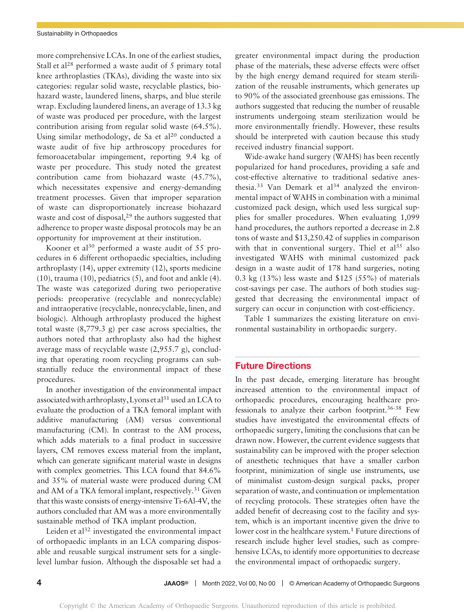more comprehensive LCAs. In one of the earliest studies, Stall et al<sup>28</sup> performed a waste audit of 5 primary total knee arthroplasties (TKAs), dividing the waste into six categories: regular solid waste, recyclable plastics, biohazard waste, laundered linens, sharps, and blue sterile wrap. Excluding laundered linens, an average of 13.3 kg of waste was produced per procedure, with the largest contribution arising from regular solid waste (64.5%). Using similar methodology, de Sa et  $al<sup>20</sup>$  conducted a waste audit of five hip arthroscopy procedures for femoroacetabular impingement, reporting 9.4 kg of waste per procedure. This study noted the greatest contribution came from biohazard waste (45.7%), which necessitates expensive and energy-demanding treatment processes. Given that improper separation of waste can disproportionately increase biohazard waste and cost of disposal, $2<sup>9</sup>$  the authors suggested that adherence to proper waste disposal protocols may be an opportunity for improvement at their institution.

Kooner et al<sup>30</sup> performed a waste audit of 55 procedures in 6 different orthopaedic specialties, including arthroplasty (14), upper extremity (12), sports medicine (10), trauma (10), pediatrics (5), and foot and ankle (4). The waste was categorized during two perioperative periods: preoperative (recyclable and nonrecyclable) and intraoperative (recyclable, nonrecyclable, linen, and biologic). Although arthroplasty produced the highest total waste (8,779.3 g) per case across specialties, the authors noted that arthroplasty also had the highest average mass of recyclable waste (2,955.7 g), concluding that operating room recycling programs can substantially reduce the environmental impact of these procedures.

In another investigation of the environmental impact associated with arthroplasty, Lyons et al<sup>31</sup> used an LCA to evaluate the production of a TKA femoral implant with additive manufacturing (AM) versus conventional manufacturing (CM). In contrast to the AM process, which adds materials to a final product in successive layers, CM removes excess material from the implant, which can generate significant material waste in designs with complex geometries. This LCA found that 84.6% and 35% of material waste were produced during CM and AM of a TKA femoral implant, respectively.<sup>31</sup> Given that this waste consists of energy-intensive Ti-6Al-4V, the authors concluded that AM was a more environmentally sustainable method of TKA implant production.

Leiden et  $a^{32}$  investigated the environmental impact of orthopaedic implants in an LCA comparing disposable and reusable surgical instrument sets for a singlelevel lumbar fusion. Although the disposable set had a

greater environmental impact during the production phase of the materials, these adverse effects were offset by the high energy demand required for steam sterilization of the reusable instruments, which generates up to 90% of the associated greenhouse gas emissions. The authors suggested that reducing the number of reusable instruments undergoing steam sterilization would be more environmentally friendly. However, these results should be interpreted with caution because this study received industry financial support.

Wide-awake hand surgery (WAHS) has been recently popularized for hand procedures, providing a safe and cost-effective alternative to traditional sedative anesthesia.<sup>33</sup> Van Demark et al<sup>34</sup> analyzed the environmental impact of WAHS in combination with a minimal customized pack design, which used less surgical supplies for smaller procedures. When evaluating 1,099 hand procedures, the authors reported a decrease in 2.8 tons of waste and \$13,250.42 of supplies in comparison with that in conventional surgery. Thiel et  $al^{35}$  also investigated WAHS with minimal customized pack design in a waste audit of 178 hand surgeries, noting 0.3 kg (13%) less waste and \$125 (55%) of materials cost-savings per case. The authors of both studies suggested that decreasing the environmental impact of surgery can occur in conjunction with cost-efficiency.

Table 1 summarizes the existing literature on environmental sustainability in orthopaedic surgery.

#### Future Directions

In the past decade, emerging literature has brought increased attention to the environmental impact of orthopaedic procedures, encouraging healthcare professionals to analyze their carbon footprint.36-38 Few studies have investigated the environmental effects of orthopaedic surgery, limiting the conclusions that can be drawn now. However, the current evidence suggests that sustainability can be improved with the proper selection of anesthetic techniques that have a smaller carbon footprint, minimization of single use instruments, use of minimalist custom-design surgical packs, proper separation of waste, and continuation or implementation of recycling protocols. These strategies often have the added benefit of decreasing cost to the facility and system, which is an important incentive given the drive to lower cost in the healthcare system.<sup>1</sup> Future directions of research include higher level studies, such as comprehensive LCAs, to identify more opportunities to decrease the environmental impact of orthopaedic surgery.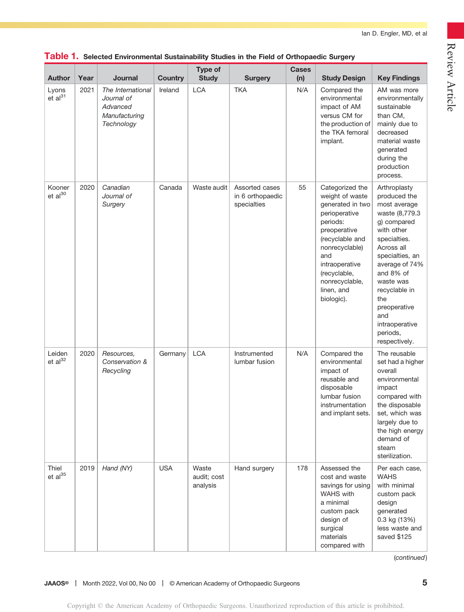| <b>Author</b>                  | Year | Journal                                                                    | <b>Country</b> | Type of<br><b>Study</b>          | <b>Surgery</b>                                    | <b>Cases</b><br>(n) | <b>Study Design</b>                                                                                                                                                                                                             | <b>Key Findings</b>                                                                                                                                                                                                                                                                    |
|--------------------------------|------|----------------------------------------------------------------------------|----------------|----------------------------------|---------------------------------------------------|---------------------|---------------------------------------------------------------------------------------------------------------------------------------------------------------------------------------------------------------------------------|----------------------------------------------------------------------------------------------------------------------------------------------------------------------------------------------------------------------------------------------------------------------------------------|
| Lyons<br>$et$ al <sup>31</sup> | 2021 | The International<br>Journal of<br>Advanced<br>Manufacturing<br>Technology | Ireland        | <b>LCA</b>                       | <b>TKA</b>                                        | N/A                 | Compared the<br>environmental<br>impact of AM<br>versus CM for<br>the production of<br>the TKA femoral<br>implant.                                                                                                              | AM was more<br>environmentally<br>sustainable<br>than CM,<br>mainly due to<br>decreased<br>material waste<br>generated<br>during the<br>production<br>process.                                                                                                                         |
| Kooner<br>$et al^{30}$         | 2020 | Canadian<br>Journal of<br>Surgery                                          | Canada         | Waste audit                      | Assorted cases<br>in 6 orthopaedic<br>specialties | 55                  | Categorized the<br>weight of waste<br>generated in two<br>perioperative<br>periods:<br>preoperative<br>(recyclable and<br>nonrecyclable)<br>and<br>intraoperative<br>(recyclable,<br>nonrecyclable,<br>linen, and<br>biologic). | Arthroplasty<br>produced the<br>most average<br>waste (8,779.3<br>g) compared<br>with other<br>specialties.<br>Across all<br>specialties, an<br>average of 74%<br>and 8% of<br>waste was<br>recyclable in<br>the<br>preoperative<br>and<br>intraoperative<br>periods,<br>respectively. |
| Leiden<br>et al <sup>32</sup>  | 2020 | Resources.<br>Conservation &<br>Recycling                                  | Germany        | <b>LCA</b>                       | Instrumented<br>lumbar fusion                     | N/A                 | Compared the<br>environmental<br>impact of<br>reusable and<br>disposable<br>lumbar fusion<br>instrumentation<br>and implant sets.                                                                                               | The reusable<br>set had a higher<br>overall<br>environmental<br>impact<br>compared with<br>the disposable<br>set, which was<br>largely due to<br>the high energy<br>demand of<br>steam<br>sterilization.                                                                               |
| Thiel<br>$et al^{35}$          | 2019 | Hand (NY)                                                                  | <b>USA</b>     | Waste<br>audit; cost<br>analysis | Hand surgery                                      | 178                 | Assessed the<br>cost and waste<br>savings for using<br><b>WAHS</b> with<br>a minimal<br>custom pack<br>design of<br>surgical<br>materials<br>compared with                                                                      | Per each case,<br><b>WAHS</b><br>with minimal<br>custom pack<br>design<br>generated<br>0.3 kg (13%)<br>less waste and<br>saved \$125                                                                                                                                                   |

## Table 1. Selected Environmental Sustainability Studies in the Field of Orthopaedic Surgery

(continued)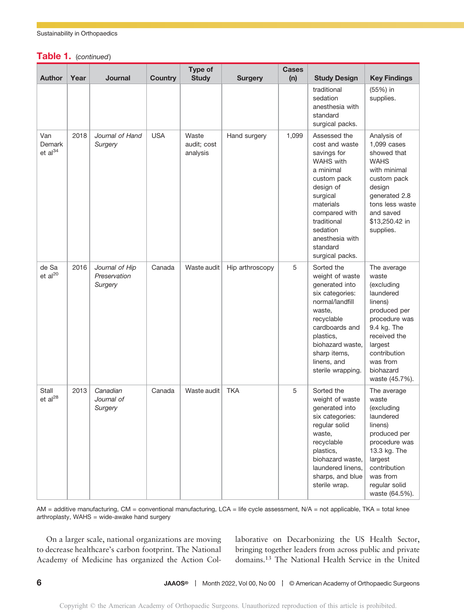## Table 1. (continued)

| <b>Author</b>                        | Year | Journal                                   | <b>Country</b> | Type of<br><b>Study</b>          | <b>Surgery</b>  | <b>Cases</b><br>(n) | <b>Study Design</b>                                                                                                                                                                                                               | <b>Key Findings</b>                                                                                                                                                                              |
|--------------------------------------|------|-------------------------------------------|----------------|----------------------------------|-----------------|---------------------|-----------------------------------------------------------------------------------------------------------------------------------------------------------------------------------------------------------------------------------|--------------------------------------------------------------------------------------------------------------------------------------------------------------------------------------------------|
|                                      |      |                                           |                |                                  |                 |                     | traditional<br>sedation<br>anesthesia with<br>standard<br>surgical packs.                                                                                                                                                         | (55%) in<br>supplies.                                                                                                                                                                            |
| Van<br>Demark<br>et al <sup>34</sup> | 2018 | Journal of Hand<br>Surgery                | <b>USA</b>     | Waste<br>audit; cost<br>analysis | Hand surgery    | 1,099               | Assessed the<br>cost and waste<br>savings for<br><b>WAHS</b> with<br>a minimal<br>custom pack<br>design of<br>surgical<br>materials<br>compared with<br>traditional<br>sedation<br>anesthesia with<br>standard<br>surgical packs. | Analysis of<br>1,099 cases<br>showed that<br><b>WAHS</b><br>with minimal<br>custom pack<br>design<br>generated 2.8<br>tons less waste<br>and saved<br>\$13,250.42 in<br>supplies.                |
| de Sa<br>et al <sup>20</sup>         | 2016 | Journal of Hip<br>Preservation<br>Surgery | Canada         | Waste audit                      | Hip arthroscopy | 5                   | Sorted the<br>weight of waste<br>generated into<br>six categories:<br>normal/landfill<br>waste,<br>recyclable<br>cardboards and<br>plastics.<br>biohazard waste,<br>sharp items,<br>linens, and<br>sterile wrapping.              | The average<br>waste<br>(excluding<br>laundered<br>linens)<br>produced per<br>procedure was<br>9.4 kg. The<br>received the<br>largest<br>contribution<br>was from<br>biohazard<br>waste (45.7%). |
| Stall<br>et al <sup>28</sup>         | 2013 | Canadian<br>Journal of<br>Surgery         | Canada         | Waste audit                      | <b>TKA</b>      | 5                   | Sorted the<br>weight of waste<br>generated into<br>six categories:<br>regular solid<br>waste,<br>recyclable<br>plastics,<br>biohazard waste,<br>laundered linens,<br>sharps, and blue<br>sterile wrap.                            | The average<br>waste<br>(excluding<br>laundered<br>linens)<br>produced per<br>procedure was<br>13.3 kg. The<br>largest<br>contribution<br>was from<br>regular solid<br>waste (64.5%).            |

AM = additive manufacturing, CM = conventional manufacturing, LCA = life cycle assessment, N/A = not applicable, TKA = total knee arthroplasty, WAHS = wide-awake hand surgery

On a larger scale, national organizations are moving to decrease healthcare's carbon footprint. The National Academy of Medicine has organized the Action Collaborative on Decarbonizing the US Health Sector, bringing together leaders from across public and private domains.13 The National Health Service in the United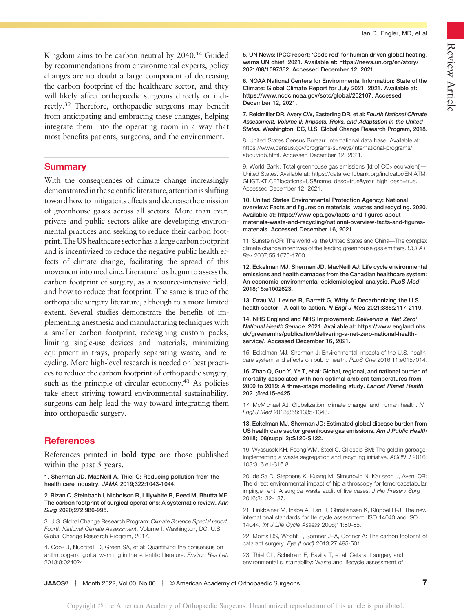Kingdom aims to be carbon neutral by 2040.<sup>14</sup> Guided by recommendations from environmental experts, policy changes are no doubt a large component of decreasing the carbon footprint of the healthcare sector, and they will likely affect orthopaedic surgeons directly or indirectly.39 Therefore, orthopaedic surgeons may benefit from anticipating and embracing these changes, helping integrate them into the operating room in a way that most benefits patients, surgeons, and the environment.

### **Summary**

With the consequences of climate change increasingly demonstrated in the scientific literature, attention is shifting toward how tomitigate its effects and decrease the emission of greenhouse gases across all sectors. More than ever, private and public sectors alike are developing environmental practices and seeking to reduce their carbon footprint. The US healthcare sector has a large carbon footprint and is incentivized to reduce the negative public health effects of climate change, facilitating the spread of this movement into medicine. Literature has begun to assess the carbon footprint of surgery, as a resource-intensive field, and how to reduce that footprint. The same is true of the orthopaedic surgery literature, although to a more limited extent. Several studies demonstrate the benefits of implementing anesthesia and manufacturing techniques with a smaller carbon footprint, redesigning custom packs, limiting single-use devices and materials, minimizing equipment in trays, properly separating waste, and recycling. More high-level research is needed on best practices to reduce the carbon footprint of orthopaedic surgery, such as the principle of circular economy.<sup>40</sup> As policies take effect striving toward environmental sustainability, surgeons can help lead the way toward integrating them into orthopaedic surgery.

# References

References printed in bold type are those published within the past 5 years.

1. Sherman JD, MacNeill A, Thiel C: Reducing pollution from the health care industry. JAMA 2019;322:1043-1044.

2. Rizan C, Steinbach I, Nicholson R, Lillywhite R, Reed M, Bhutta MF: The carbon footprint of surgical operations: A systematic review. Ann Surg 2020;272:986-995.

3. U.S. Global Change Research Program: Climate Science Special report: Fourth National Climate Assessment, Volume I. Washington, DC, U.S. Global Change Research Program, 2017.

4. Cook J, Nuccitelli D, Green SA, et al: Quantifying the consensus on anthropogenic global warming in the scientific literature. Environ Res Lett 2013;8:024024.

5. UN News: IPCC report: 'Code red' for human driven global heating, warns UN chief. 2021. Available at: [https://news.un.org/en/story/](https://news.un.org/en/story/2021/08/1097362) [2021/08/1097362.](https://news.un.org/en/story/2021/08/1097362) Accessed December 12, 2021.

6. NOAA National Centers for Environmental Information: State of the Climate: Global Climate Report for July 2021. 2021. Available at: [https://www.ncdc.noaa.gov/sotc/global/202107.](https://www.ncdc.noaa.gov/sotc/global/202107) Accessed December 12, 2021.

7. Reidmiller DR, Avery CW, Easterling DR, et al: Fourth National Climate Assessment, Volume II: Impacts, Risks, and Adaptation in the United States. Washington, DC, U.S. Global Change Research Program, 2018.

8. United States Census Bureau: International data base. Available at: [https://www.census.gov/programs-surveys/international-programs/](https://www.census.gov/programs-surveys/international-programs/about/idb.html) [about/idb.html.](https://www.census.gov/programs-surveys/international-programs/about/idb.html) Accessed December 12, 2021.

9. World Bank: Total greenhouse gas emissions (kt of  $CO<sub>2</sub>$  equivalent)-United States. Available at: [https://data.worldbank.org/indicator/EN.ATM.](https://data.worldbank.org/indicator/EN.ATM.GHGT.KT.CE?locations=US&name_desc=true&year_high_desc=true) [GHGT.KT.CE?locations=US&name\\_desc=true&year\\_high\\_desc=true](https://data.worldbank.org/indicator/EN.ATM.GHGT.KT.CE?locations=US&name_desc=true&year_high_desc=true). Accessed December 12, 2021.

10. United States Environmental Protection Agency: National overview: Facts and figures on materials, wastes and recycling. 2020. Available at: [https://www.epa.gov/facts-and-figures-about](https://www.epa.gov/facts-and-figures-about-materials-waste-and-recycling/national-overview-facts-and-figures-materials)[materials-waste-and-recycling/national-overview-facts-and-figures](https://www.epa.gov/facts-and-figures-about-materials-waste-and-recycling/national-overview-facts-and-figures-materials)[materials](https://www.epa.gov/facts-and-figures-about-materials-waste-and-recycling/national-overview-facts-and-figures-materials). Accessed December 16, 2021.

11. Sunstein CR: The world vs. the United States and China—The complex climate change incentives of the leading greenhouse gas emitters. UCLA L Rev 2007;55:1675-1700.

12. Eckelman MJ, Sherman JD, MacNeill AJ: Life cycle environmental emissions and health damages from the Canadian healthcare system: An economic-environmental-epidemiological analysis. PLoS Med 2018;15:e1002623.

13. Dzau VJ, Levine R, Barrett G, Witty A: Decarbonizing the U.S. health sector—A call to action. N Engl J Med 2021;385:2117-2119.

14. NHS England and NHS Improvement: Delivering a 'Net Zero' National Health Service. 2021. Available at: [https://www.england.nhs.](https://www.england.nhs.uk/greenernhs/publication/delivering-a-net-zero-national-health-service/) [uk/greenernhs/publication/delivering-a-net-zero-national-health](https://www.england.nhs.uk/greenernhs/publication/delivering-a-net-zero-national-health-service/)[service/](https://www.england.nhs.uk/greenernhs/publication/delivering-a-net-zero-national-health-service/). Accessed December 16, 2021.

15. Eckelman MJ, Sherman J: Environmental impacts of the U.S. health care system and effects on public health. PLoS One 2016;11:e0157014.

16. Zhao Q, Guo Y, Ye T, et al: Global, regional, and national burden of mortality associated with non-optimal ambient temperatures from 2000 to 2019: A three-stage modelling study. Lancet Planet Health 2021;5:e415-e425.

17. McMichael AJ: Globalization, climate change, and human health. N Engl J Med 2013;368:1335-1343.

18. Eckelman MJ, Sherman JD: Estimated global disease burden from US health care sector greenhouse gas emissions. Am J Public Health 2018;108(suppl 2):S120-S122.

19. Wyssusek KH, Foong WM, Steel C, Gillespie BM: The gold in garbage: Implementing a waste segregation and recycling initiative. AORN J 2016; 103:316.e1-316.8.

20. de Sa D, Stephens K, Kuang M, Simunovic N, Karlsson J, Ayeni OR: The direct environmental impact of hip arthroscopy for femoroacetabular impingement: A surgical waste audit of five cases. J Hip Preserv Surg 2016;3:132-137.

21. Finkbeiner M, Inaba A, Tan R, Christiansen K, Klüppel H-J: The new international standards for life cycle assessment: ISO 14040 and ISO 14044. Int J Life Cycle Assess 2006;11:80-85.

22. Morris DS, Wright T, Somner JEA, Connor A: The carbon footprint of cataract surgery. Eye (Lond) 2013;27:495-501.

23. Thiel CL, Schehlein E, Ravilla T, et al: Cataract surgery and environmental sustainability: Waste and lifecycle assessment of